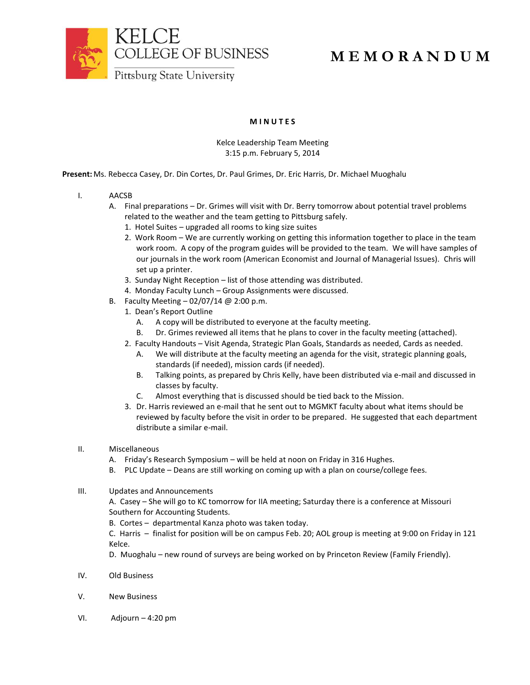

## **M E M O R A N D U M**

## **M I N U T E S**

## Kelce Leadership Team Meeting 3:15 p.m. February 5, 2014

**Present:** Ms. Rebecca Casey, Dr. Din Cortes, Dr. Paul Grimes, Dr. Eric Harris, Dr. Michael Muoghalu

- I. AACSB
	- A. Final preparations Dr. Grimes will visit with Dr. Berry tomorrow about potential travel problems related to the weather and the team getting to Pittsburg safely.
		- 1. Hotel Suites upgraded all rooms to king size suites
		- 2. Work Room We are currently working on getting this information together to place in the team work room. A copy of the program guides will be provided to the team. We will have samples of our journals in the work room (American Economist and Journal of Managerial Issues). Chris will set up a printer.
		- 3. Sunday Night Reception list of those attending was distributed.
		- 4. Monday Faculty Lunch Group Assignments were discussed.
	- B. Faculty Meeting  $-02/07/14$  @ 2:00 p.m.
		- 1. Dean's Report Outline
			- A. A copy will be distributed to everyone at the faculty meeting.
			- B. Dr. Grimes reviewed all items that he plans to cover in the faculty meeting (attached).
		- 2. Faculty Handouts Visit Agenda, Strategic Plan Goals, Standards as needed, Cards as needed.
			- A. We will distribute at the faculty meeting an agenda for the visit, strategic planning goals, standards (if needed), mission cards (if needed).
			- B. Talking points, as prepared by Chris Kelly, have been distributed via e-mail and discussed in classes by faculty.
			- C. Almost everything that is discussed should be tied back to the Mission.
		- 3. Dr. Harris reviewed an e-mail that he sent out to MGMKT faculty about what items should be reviewed by faculty before the visit in order to be prepared. He suggested that each department distribute a similar e-mail.
- II. Miscellaneous
	- A. Friday's Research Symposium will be held at noon on Friday in 316 Hughes.
	- B. PLC Update Deans are still working on coming up with a plan on course/college fees.
- III. Updates and Announcements

A. Casey – She will go to KC tomorrow for IIA meeting; Saturday there is a conference at Missouri Southern for Accounting Students.

B. Cortes – departmental Kanza photo was taken today.

C. Harris – finalist for position will be on campus Feb. 20; AOL group is meeting at 9:00 on Friday in 121 Kelce.

D. Muoghalu – new round of surveys are being worked on by Princeton Review (Family Friendly).

- IV. Old Business
- V. New Business
- VI. Adjourn 4:20 pm